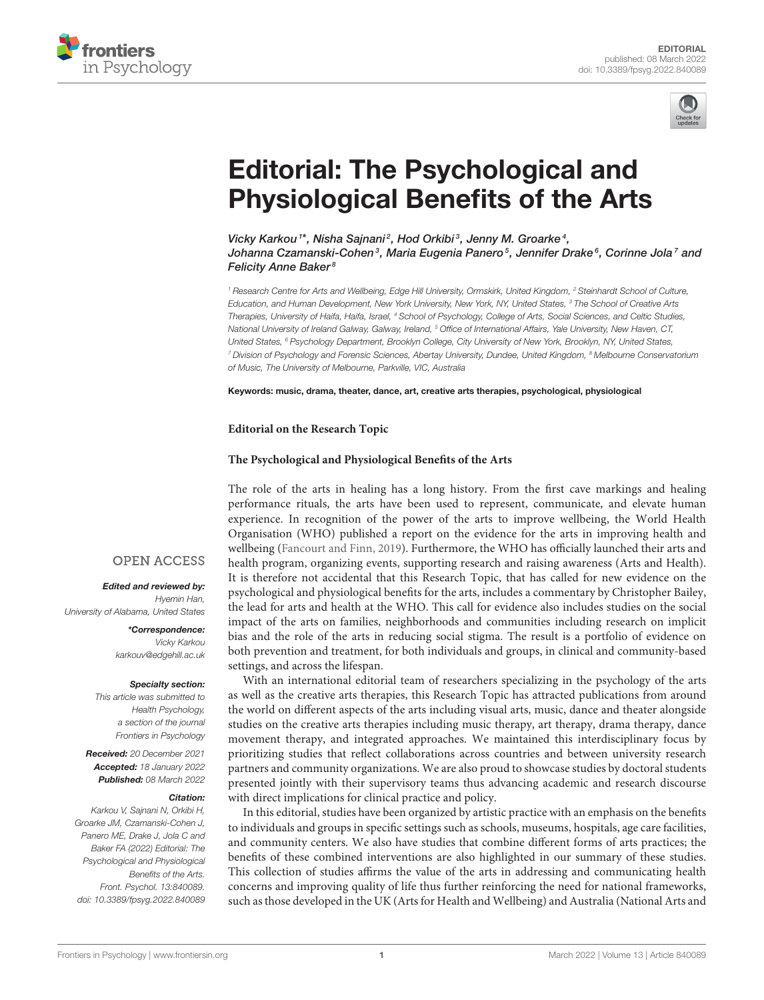



# Editorial: The Psychological and [Physiological Benefits of the Arts](https://www.frontiersin.org/articles/10.3389/fpsyg.2022.840089/full)

Vicky Karkou<sup>1\*</sup>, Nisha Sajnani<sup>2</sup>, Hod Orkibi<sup>3</sup>, Jenny M. Groarke<sup>4</sup>, Johanna Czamanski-Cohen<sup>3</sup>, Maria Eugenia Panero<sup>5</sup>, Jennifer Drake<sup>s</sup>, Corinne Jola<sup>7</sup> and Felicity Anne Baker<sup>8</sup>

*<sup>1</sup> Research Centre for Arts and Wellbeing, Edge Hill University, Ormskirk, United Kingdom, <sup>2</sup> Steinhardt School of Culture, Education, and Human Development, New York University, New York, NY, United States, <sup>3</sup> The School of Creative Arts Therapies, University of Haifa, Haifa, Israel, <sup>4</sup> School of Psychology, College of Arts, Social Sciences, and Celtic Studies, National University of Ireland Galway, Galway, Ireland, <sup>5</sup> Office of International Affairs, Yale University, New Haven, CT, United States, <sup>6</sup> Psychology Department, Brooklyn College, City University of New York, Brooklyn, NY, United States, <sup>7</sup> Division of Psychology and Forensic Sciences, Abertay University, Dundee, United Kingdom, <sup>8</sup> Melbourne Conservatorium of Music, The University of Melbourne, Parkville, VIC, Australia*

Keywords: music, drama, theater, dance, art, creative arts therapies, psychological, physiological

#### **Editorial on the Research Topic**

#### **[The Psychological and Physiological Benefits of the Arts](https://www.frontiersin.org/research-topics/11877/the-psychological-and-physiological-benefits-of-the-arts)**

The role of the arts in healing has a long history. From the first cave markings and healing performance rituals, the arts have been used to represent, communicate, and elevate human experience. In recognition of the power of the arts to improve wellbeing, the World Health Organisation (WHO) published a report on the evidence for the arts in improving health and wellbeing [\(Fancourt and Finn, 2019\)](#page-6-0). Furthermore, the WHO has officially launched their arts and health program, organizing events, supporting research and raising awareness (Arts and Health). It is therefore not accidental that this Research Topic, that has called for new evidence on the psychological and physiological benefits for the arts, includes a commentary by Christopher Bailey, the lead for arts and health at the WHO. This call for evidence also includes studies on the social impact of the arts on families, neighborhoods and communities including research on implicit bias and the role of the arts in reducing social stigma. The result is a portfolio of evidence on both prevention and treatment, for both individuals and groups, in clinical and community-based settings, and across the lifespan.

With an international editorial team of researchers specializing in the psychology of the arts as well as the creative arts therapies, this Research Topic has attracted publications from around the world on different aspects of the arts including visual arts, music, dance and theater alongside studies on the creative arts therapies including music therapy, art therapy, drama therapy, dance movement therapy, and integrated approaches. We maintained this interdisciplinary focus by prioritizing studies that reflect collaborations across countries and between university research partners and community organizations. We are also proud to showcase studies by doctoral students presented jointly with their supervisory teams thus advancing academic and research discourse with direct implications for clinical practice and policy.

In this editorial, studies have been organized by artistic practice with an emphasis on the benefits to individuals and groups in specific settings such as schools, museums, hospitals, age care facilities, and community centers. We also have studies that combine different forms of arts practices; the benefits of these combined interventions are also highlighted in our summary of these studies. This collection of studies affirms the value of the arts in addressing and communicating health concerns and improving quality of life thus further reinforcing the need for national frameworks, such as those developed in the UK (Arts for Health and Wellbeing) and Australia (National Arts and

### **OPEN ACCESS**

Edited and reviewed by: *Hyemin Han, University of Alabama, United States*

> \*Correspondence: *Vicky Karkou [karkouv@edgehill.ac.uk](mailto:karkouv@edgehill.ac.uk)*

#### Specialty section:

*This article was submitted to Health Psychology, a section of the journal Frontiers in Psychology*

Received: *20 December 2021* Accepted: *18 January 2022* Published: *08 March 2022*

#### Citation:

*Karkou V, Sajnani N, Orkibi H, Groarke JM, Czamanski-Cohen J, Panero ME, Drake J, Jola C and Baker FA (2022) Editorial: The Psychological and Physiological Benefits of the Arts. Front. Psychol. 13:840089. doi: [10.3389/fpsyg.2022.840089](https://doi.org/10.3389/fpsyg.2022.840089)*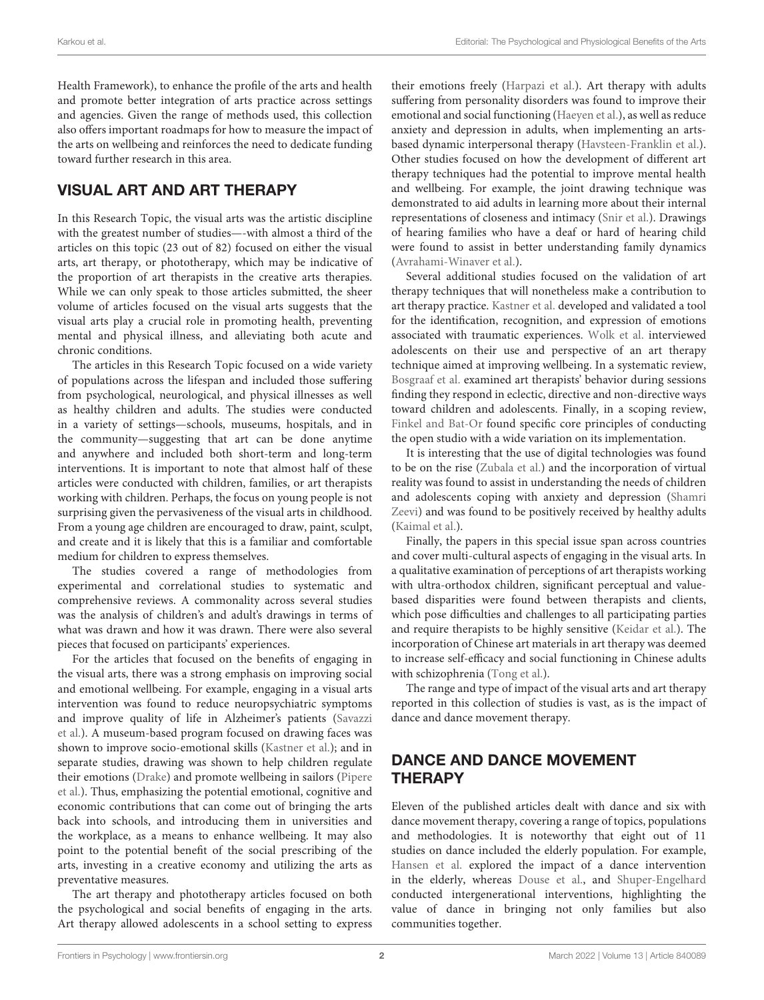Health Framework), to enhance the profile of the arts and health and promote better integration of arts practice across settings and agencies. Given the range of methods used, this collection also offers important roadmaps for how to measure the impact of the arts on wellbeing and reinforces the need to dedicate funding toward further research in this area.

# VISUAL ART AND ART THERAPY

In this Research Topic, the visual arts was the artistic discipline with the greatest number of studies—-with almost a third of the articles on this topic (23 out of 82) focused on either the visual arts, art therapy, or phototherapy, which may be indicative of the proportion of art therapists in the creative arts therapies. While we can only speak to those articles submitted, the sheer volume of articles focused on the visual arts suggests that the visual arts play a crucial role in promoting health, preventing mental and physical illness, and alleviating both acute and chronic conditions.

The articles in this Research Topic focused on a wide variety of populations across the lifespan and included those suffering from psychological, neurological, and physical illnesses as well as healthy children and adults. The studies were conducted in a variety of settings—schools, museums, hospitals, and in the community—suggesting that art can be done anytime and anywhere and included both short-term and long-term interventions. It is important to note that almost half of these articles were conducted with children, families, or art therapists working with children. Perhaps, the focus on young people is not surprising given the pervasiveness of the visual arts in childhood. From a young age children are encouraged to draw, paint, sculpt, and create and it is likely that this is a familiar and comfortable medium for children to express themselves.

The studies covered a range of methodologies from experimental and correlational studies to systematic and comprehensive reviews. A commonality across several studies was the analysis of children's and adult's drawings in terms of what was drawn and how it was drawn. There were also several pieces that focused on participants' experiences.

For the articles that focused on the benefits of engaging in the visual arts, there was a strong emphasis on improving social and emotional wellbeing. For example, engaging in a visual arts intervention was found to reduce neuropsychiatric symptoms [and improve quality of life in Alzheimer's patients \(Savazzi](https://doi.org/10.3389/fpsyg.2020.01467) et al.). A museum-based program focused on drawing faces was shown to improve socio-emotional skills [\(Kastner et al.\)](https://doi.org/10.3389/fpsyg.2020.603984); and in separate studies, drawing was shown to help children regulate their emotions [\(Drake\)](https://doi.org/10.3389/fpsyg.2021.622927) and promote wellbeing in sailors (Pipere [et al.\). Thus, emphasizing the potential emotional, cognitive and](https://doi.org/10.3389/fpsyg.2020.572028) economic contributions that can come out of bringing the arts back into schools, and introducing them in universities and the workplace, as a means to enhance wellbeing. It may also point to the potential benefit of the social prescribing of the arts, investing in a creative economy and utilizing the arts as preventative measures.

The art therapy and phototherapy articles focused on both the psychological and social benefits of engaging in the arts. Art therapy allowed adolescents in a school setting to express their emotions freely [\(Harpazi et al.\)](https://doi.org/10.3389/fpsyg.2020.518304). Art therapy with adults suffering from personality disorders was found to improve their emotional and social functioning [\(Haeyen et al.\)](https://doi.org/10.3389/fpsyg.2020.00686), as well as reduce anxiety and depression in adults, when implementing an artsbased dynamic interpersonal therapy [\(Havsteen-Franklin et al.\)](https://doi.org/10.3389/fpsyg.2021.588661). Other studies focused on how the development of different art therapy techniques had the potential to improve mental health and wellbeing. For example, the joint drawing technique was demonstrated to aid adults in learning more about their internal representations of closeness and intimacy [\(Snir et al.\)](https://doi.org/10.3389/fpsyg.2020.573140). Drawings of hearing families who have a deaf or hard of hearing child were found to assist in better understanding family dynamics [\(Avrahami-Winaver et al.\)](https://doi.org/10.3389/fpsyg.2020.02221).

Several additional studies focused on the validation of art therapy techniques that will nonetheless make a contribution to art therapy practice. [Kastner et al.](https://doi.org/10.3389/fpsyg.2020.603984) developed and validated a tool for the identification, recognition, and expression of emotions associated with traumatic experiences. [Wolk et al.](https://doi.org/10.3389/fpsyg.2020.00687) interviewed adolescents on their use and perspective of an art therapy technique aimed at improving wellbeing. In a systematic review, [Bosgraaf et al.](https://doi.org/10.3389/fpsyg.2020.584685) examined art therapists' behavior during sessions finding they respond in eclectic, directive and non-directive ways toward children and adolescents. Finally, in a scoping review, [Finkel and Bat-Or](https://doi.org/10.3389/fpsyg.2020.568042) found specific core principles of conducting the open studio with a wide variation on its implementation.

It is interesting that the use of digital technologies was found to be on the rise [\(Zubala et al.\)](https://doi.org/10.3389/fpsyg.2021.600070) and the incorporation of virtual reality was found to assist in understanding the needs of children [and adolescents coping with anxiety and depression \(Shamri](https://doi.org/10.3389/fpsyg.2021.584943) Zeevi) and was found to be positively received by healthy adults [\(Kaimal et al.\)](https://doi.org/10.3389/fpsyg.2020.589461).

Finally, the papers in this special issue span across countries and cover multi-cultural aspects of engaging in the visual arts. In a qualitative examination of perceptions of art therapists working with ultra-orthodox children, significant perceptual and valuebased disparities were found between therapists and clients, which pose difficulties and challenges to all participating parties and require therapists to be highly sensitive [\(Keidar et al.\)](https://doi.org/10.3389/fpsyg.2021.599872). The incorporation of Chinese art materials in art therapy was deemed to increase self-efficacy and social functioning in Chinese adults with schizophrenia [\(Tong et al.\)](https://doi.org/10.3389/fpsyg.2020.571124).

The range and type of impact of the visual arts and art therapy reported in this collection of studies is vast, as is the impact of dance and dance movement therapy.

# DANCE AND DANCE MOVEMENT **THERAPY**

Eleven of the published articles dealt with dance and six with dance movement therapy, covering a range of topics, populations and methodologies. It is noteworthy that eight out of 11 studies on dance included the elderly population. For example, [Hansen et al.](https://doi.org/10.3389/fpsyg.2021.635938) explored the impact of a dance intervention in the elderly, whereas [Douse et al.,](https://doi.org/10.3389/fpsyg.2020.561126) and [Shuper-Engelhard](https://doi.org/10.3389/fpsyg.2020.00542) conducted intergenerational interventions, highlighting the value of dance in bringing not only families but also communities together.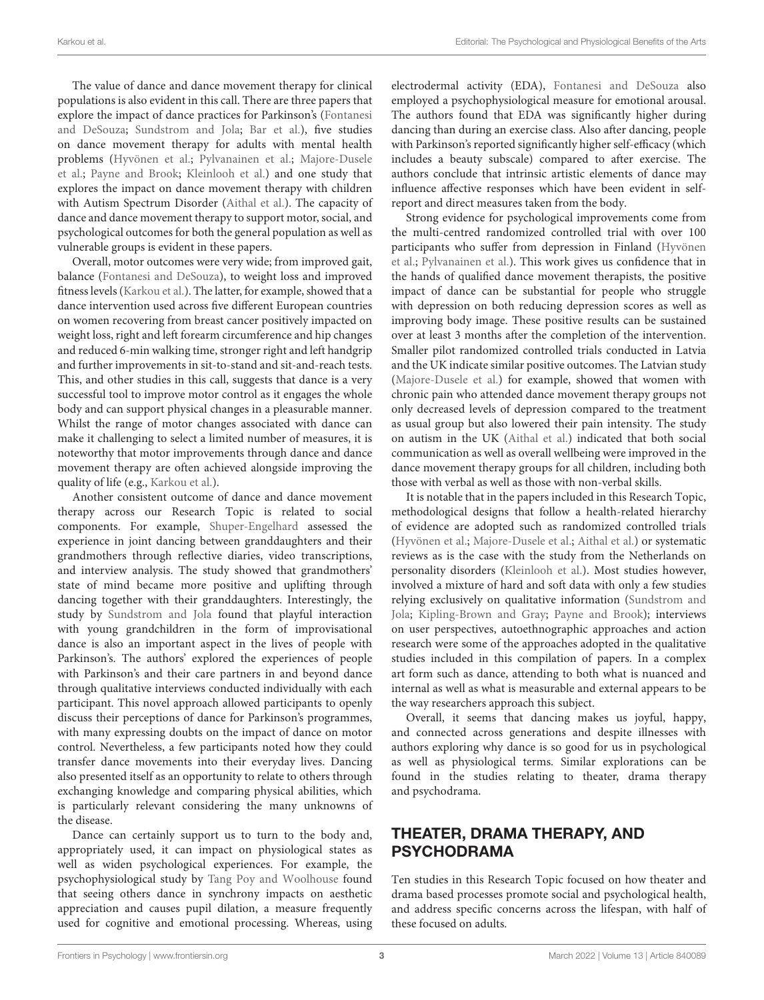The value of dance and dance movement therapy for clinical populations is also evident in this call. There are three papers that [explore the impact of dance practices for Parkinson's \(Fontanesi](https://doi.org/10.3389/fpsyg.2020.600440) and DeSouza; [Sundstrom and Jola;](https://doi.org/10.3389/fpsyg.2021.636135) [Bar et al.\)](https://doi.org/10.3389/fpsyg.2021.623721), five studies on dance movement therapy for adults with mental health problems [\(Hyvönen et al.;](https://doi.org/10.3389/fpsyg.2020.01687) [Pylvanainen et al.;](https://doi.org/10.3389/fpsyg.2020.564788) Majore-Dusele et al.; [Payne and Brook;](https://doi.org/10.3389/fpsyg.2020.554566) [Kleinlooh et al.\) and one study that](https://doi.org/10.3389/fpsyg.2021.587923) explores the impact on dance movement therapy with children with Autism Spectrum Disorder [\(Aithal et al.\)](https://doi.org/10.3389/fpsyg.2021.588418). The capacity of dance and dance movement therapy to support motor, social, and psychological outcomes for both the general population as well as vulnerable groups is evident in these papers.

Overall, motor outcomes were very wide; from improved gait, balance [\(Fontanesi and DeSouza\)](https://doi.org/10.3389/fpsyg.2020.600440), to weight loss and improved fitness levels [\(Karkou et al.\)](https://doi.org/10.3389/fpsyg.2021.635578). The latter, for example, showed that a dance intervention used across five different European countries on women recovering from breast cancer positively impacted on weight loss, right and left forearm circumference and hip changes and reduced 6-min walking time, stronger right and left handgrip and further improvements in sit-to-stand and sit-and-reach tests. This, and other studies in this call, suggests that dance is a very successful tool to improve motor control as it engages the whole body and can support physical changes in a pleasurable manner. Whilst the range of motor changes associated with dance can make it challenging to select a limited number of measures, it is noteworthy that motor improvements through dance and dance movement therapy are often achieved alongside improving the quality of life (e.g., [Karkou et al.\)](https://doi.org/10.3389/fpsyg.2021.635578).

Another consistent outcome of dance and dance movement therapy across our Research Topic is related to social components. For example, [Shuper-Engelhard](https://doi.org/10.3389/fpsyg.2020.00542) assessed the experience in joint dancing between granddaughters and their grandmothers through reflective diaries, video transcriptions, and interview analysis. The study showed that grandmothers' state of mind became more positive and uplifting through dancing together with their granddaughters. Interestingly, the study by [Sundstrom and Jola](https://doi.org/10.3389/fpsyg.2021.636135) found that playful interaction with young grandchildren in the form of improvisational dance is also an important aspect in the lives of people with Parkinson's. The authors' explored the experiences of people with Parkinson's and their care partners in and beyond dance through qualitative interviews conducted individually with each participant. This novel approach allowed participants to openly discuss their perceptions of dance for Parkinson's programmes, with many expressing doubts on the impact of dance on motor control. Nevertheless, a few participants noted how they could transfer dance movements into their everyday lives. Dancing also presented itself as an opportunity to relate to others through exchanging knowledge and comparing physical abilities, which is particularly relevant considering the many unknowns of the disease.

Dance can certainly support us to turn to the body and, appropriately used, it can impact on physiological states as well as widen psychological experiences. For example, the psychophysiological study by [Tang Poy and Woolhouse](https://doi.org/10.3389/fpsyg.2020.588935) found that seeing others dance in synchrony impacts on aesthetic appreciation and causes pupil dilation, a measure frequently used for cognitive and emotional processing. Whereas, using electrodermal activity (EDA), [Fontanesi and DeSouza](https://doi.org/10.3389/fpsyg.2020.600440) also employed a psychophysiological measure for emotional arousal. The authors found that EDA was significantly higher during dancing than during an exercise class. Also after dancing, people with Parkinson's reported significantly higher self-efficacy (which includes a beauty subscale) compared to after exercise. The authors conclude that intrinsic artistic elements of dance may influence affective responses which have been evident in selfreport and direct measures taken from the body.

Strong evidence for psychological improvements come from the multi-centred randomized controlled trial with over 100 [participants who suffer from depression in Finland \(Hyvönen](https://doi.org/10.3389/fpsyg.2020.01687) et al.; [Pylvanainen et al.\)](https://doi.org/10.3389/fpsyg.2020.564788). This work gives us confidence that in the hands of qualified dance movement therapists, the positive impact of dance can be substantial for people who struggle with depression on both reducing depression scores as well as improving body image. These positive results can be sustained over at least 3 months after the completion of the intervention. Smaller pilot randomized controlled trials conducted in Latvia and the UK indicate similar positive outcomes. The Latvian study [\(Majore-Dusele et al.\)](https://doi.org/10.3389/fpsyg.2021.587923) for example, showed that women with chronic pain who attended dance movement therapy groups not only decreased levels of depression compared to the treatment as usual group but also lowered their pain intensity. The study on autism in the UK [\(Aithal et al.\)](https://doi.org/10.3389/fpsyg.2021.588418) indicated that both social communication as well as overall wellbeing were improved in the dance movement therapy groups for all children, including both those with verbal as well as those with non-verbal skills.

It is notable that in the papers included in this Research Topic, methodological designs that follow a health-related hierarchy of evidence are adopted such as randomized controlled trials [\(Hyvönen et al.;](https://doi.org/10.3389/fpsyg.2020.01687) [Majore-Dusele et al.;](https://doi.org/10.3389/fpsyg.2021.587923) [Aithal et al.\)](https://doi.org/10.3389/fpsyg.2021.588418) or systematic reviews as is the case with the study from the Netherlands on personality disorders [\(Kleinlooh et al.\)](https://doi.org/10.3389/fpsyg.2021.581578). Most studies however, involved a mixture of hard and soft data with only a few studies [relying exclusively on qualitative information \(Sundstrom and](https://doi.org/10.3389/fpsyg.2021.636135) Jola; [Kipling-Brown and Gray;](https://doi.org/10.3389/fpsyg.2021.587379) [Payne and Brook\)](https://doi.org/10.3389/fpsyg.2020.554566); interviews on user perspectives, autoethnographic approaches and action research were some of the approaches adopted in the qualitative studies included in this compilation of papers. In a complex art form such as dance, attending to both what is nuanced and internal as well as what is measurable and external appears to be the way researchers approach this subject.

Overall, it seems that dancing makes us joyful, happy, and connected across generations and despite illnesses with authors exploring why dance is so good for us in psychological as well as physiological terms. Similar explorations can be found in the studies relating to theater, drama therapy and psychodrama.

## THEATER, DRAMA THERAPY, AND PSYCHODRAMA

Ten studies in this Research Topic focused on how theater and drama based processes promote social and psychological health, and address specific concerns across the lifespan, with half of these focused on adults.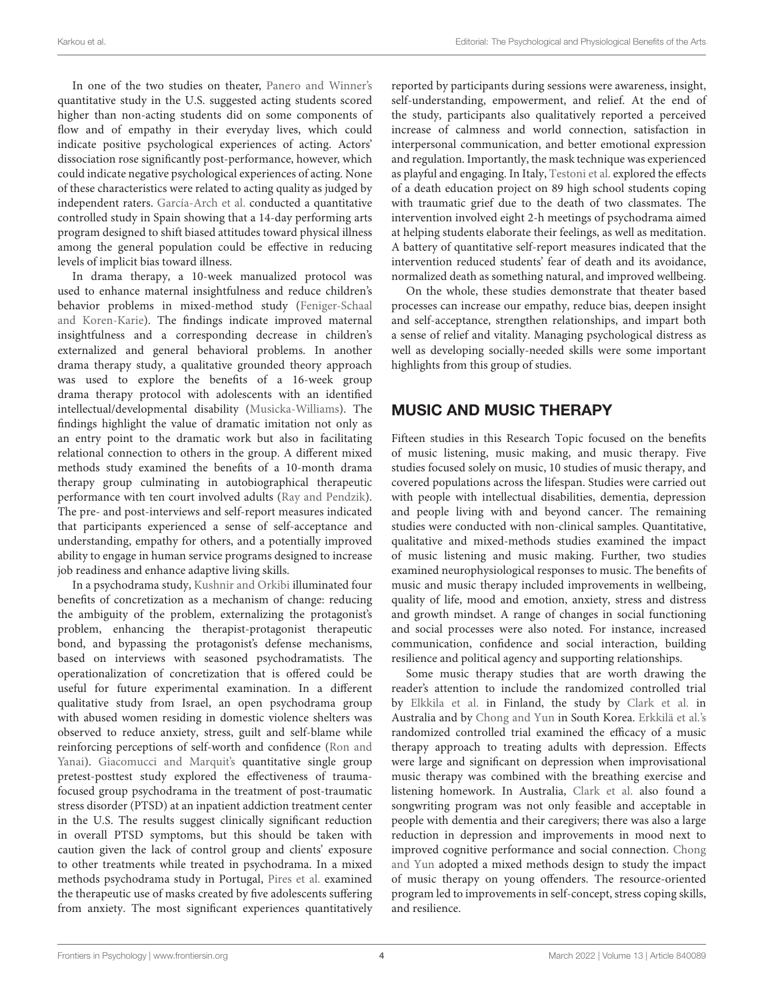In one of the two studies on theater, [Panero and Winner's](https://doi.org/10.3389/fpsyg.2020.615311) quantitative study in the U.S. suggested acting students scored higher than non-acting students did on some components of flow and of empathy in their everyday lives, which could indicate positive psychological experiences of acting. Actors' dissociation rose significantly post-performance, however, which could indicate negative psychological experiences of acting. None of these characteristics were related to acting quality as judged by independent raters. [García-Arch et al.](https://doi.org/10.3389/fpsyg.2021.614816) conducted a quantitative controlled study in Spain showing that a 14-day performing arts program designed to shift biased attitudes toward physical illness among the general population could be effective in reducing levels of implicit bias toward illness.

In drama therapy, a 10-week manualized protocol was used to enhance maternal insightfulness and reduce children's behavior problems in mixed-method study (Feniger-Schaal [and Koren-Karie\). The findings indicate improved maternal](https://doi.org/10.3389/fpsyg.2020.586630) insightfulness and a corresponding decrease in children's externalized and general behavioral problems. In another drama therapy study, a qualitative grounded theory approach was used to explore the benefits of a 16-week group drama therapy protocol with adolescents with an identified intellectual/developmental disability [\(Musicka-Williams\)](https://doi.org/10.3389/fpsyg.2020.588650). The findings highlight the value of dramatic imitation not only as an entry point to the dramatic work but also in facilitating relational connection to others in the group. A different mixed methods study examined the benefits of a 10-month drama therapy group culminating in autobiographical therapeutic performance with ten court involved adults [\(Ray and Pendzik\)](https://doi.org/10.3389/fpsyg.2021.599914). The pre- and post-interviews and self-report measures indicated that participants experienced a sense of self-acceptance and understanding, empathy for others, and a potentially improved ability to engage in human service programs designed to increase job readiness and enhance adaptive living skills.

In a psychodrama study, [Kushnir and Orkibi](https://doi.org/10.3389/fpsyg.2021.633069) illuminated four benefits of concretization as a mechanism of change: reducing the ambiguity of the problem, externalizing the protagonist's problem, enhancing the therapist-protagonist therapeutic bond, and bypassing the protagonist's defense mechanisms, based on interviews with seasoned psychodramatists. The operationalization of concretization that is offered could be useful for future experimental examination. In a different qualitative study from Israel, an open psychodrama group with abused women residing in domestic violence shelters was observed to reduce anxiety, stress, guilt and self-blame while [reinforcing perceptions of self-worth and confidence \(Ron and](https://doi.org/10.3389/fpsyg.2021.600335) Yanai). [Giacomucci and Marquit's](https://doi.org/10.3389/fpsyg.2020.00896) quantitative single group pretest-posttest study explored the effectiveness of traumafocused group psychodrama in the treatment of post-traumatic stress disorder (PTSD) at an inpatient addiction treatment center in the U.S. The results suggest clinically significant reduction in overall PTSD symptoms, but this should be taken with caution given the lack of control group and clients' exposure to other treatments while treated in psychodrama. In a mixed methods psychodrama study in Portugal, [Pires et al.](https://doi.org/10.3389/fpsyg.2020.588877) examined the therapeutic use of masks created by five adolescents suffering from anxiety. The most significant experiences quantitatively reported by participants during sessions were awareness, insight, self-understanding, empowerment, and relief. At the end of the study, participants also qualitatively reported a perceived increase of calmness and world connection, satisfaction in interpersonal communication, and better emotional expression and regulation. Importantly, the mask technique was experienced as playful and engaging. In Italy, [Testoni et al.](https://doi.org/10.3389/fpsyg.2020.00966) explored the effects of a death education project on 89 high school students coping with traumatic grief due to the death of two classmates. The intervention involved eight 2-h meetings of psychodrama aimed at helping students elaborate their feelings, as well as meditation. A battery of quantitative self-report measures indicated that the intervention reduced students' fear of death and its avoidance, normalized death as something natural, and improved wellbeing.

On the whole, these studies demonstrate that theater based processes can increase our empathy, reduce bias, deepen insight and self-acceptance, strengthen relationships, and impart both a sense of relief and vitality. Managing psychological distress as well as developing socially-needed skills were some important highlights from this group of studies.

# MUSIC AND MUSIC THERAPY

Fifteen studies in this Research Topic focused on the benefits of music listening, music making, and music therapy. Five studies focused solely on music, 10 studies of music therapy, and covered populations across the lifespan. Studies were carried out with people with intellectual disabilities, dementia, depression and people living with and beyond cancer. The remaining studies were conducted with non-clinical samples. Quantitative, qualitative and mixed-methods studies examined the impact of music listening and music making. Further, two studies examined neurophysiological responses to music. The benefits of music and music therapy included improvements in wellbeing, quality of life, mood and emotion, anxiety, stress and distress and growth mindset. A range of changes in social functioning and social processes were also noted. For instance, increased communication, confidence and social interaction, building resilience and political agency and supporting relationships.

Some music therapy studies that are worth drawing the reader's attention to include the randomized controlled trial by [Elkkila et al.](https://doi.org/10.3389/fpsyg.2021.613821) in Finland, the study by [Clark et al.](https://doi.org/10.3389/fpsyg.2020.01951) in Australia and by [Chong and Yun](https://doi.org/10.3389/fpsyg.2020.589431) in South Korea. [Erkkilä et al.'s](https://doi.org/10.3389/fpsyg.2021.613821) randomized controlled trial examined the efficacy of a music therapy approach to treating adults with depression. Effects were large and significant on depression when improvisational music therapy was combined with the breathing exercise and listening homework. In Australia, [Clark et al.](https://doi.org/10.3389/fpsyg.2021.598979) also found a songwriting program was not only feasible and acceptable in people with dementia and their caregivers; there was also a large reduction in depression and improvements in mood next to [improved cognitive performance and social connection.](https://doi.org/10.3389/fpsyg.2020.589431) Chong and Yun adopted a mixed methods design to study the impact of music therapy on young offenders. The resource-oriented program led to improvements in self-concept, stress coping skills, and resilience.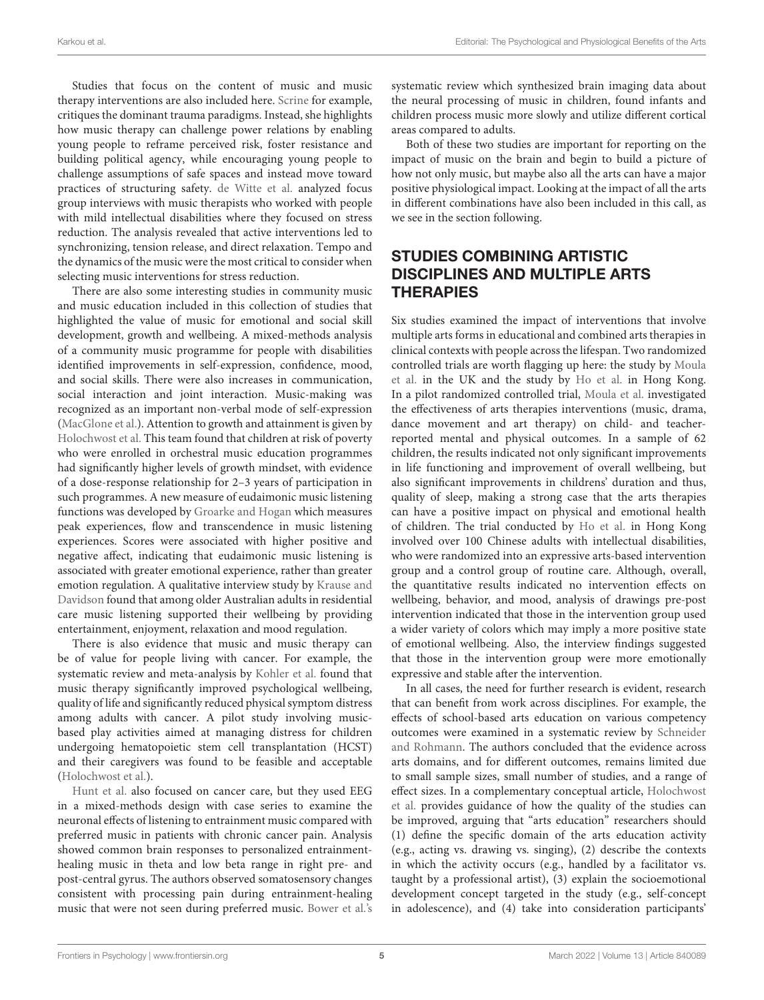Studies that focus on the content of music and music therapy interventions are also included here. [Scrine](https://doi.org/10.3389/fpsyg.2021.600245) for example, critiques the dominant trauma paradigms. Instead, she highlights how music therapy can challenge power relations by enabling young people to reframe perceived risk, foster resistance and building political agency, while encouraging young people to challenge assumptions of safe spaces and instead move toward practices of structuring safety. [de Witte et al.](https://doi.org/10.3389/fpsyg.2021.678397) analyzed focus group interviews with music therapists who worked with people with mild intellectual disabilities where they focused on stress reduction. The analysis revealed that active interventions led to synchronizing, tension release, and direct relaxation. Tempo and the dynamics of the music were the most critical to consider when selecting music interventions for stress reduction.

There are also some interesting studies in community music and music education included in this collection of studies that highlighted the value of music for emotional and social skill development, growth and wellbeing. A mixed-methods analysis of a community music programme for people with disabilities identified improvements in self-expression, confidence, mood, and social skills. There were also increases in communication, social interaction and joint interaction. Music-making was recognized as an important non-verbal mode of self-expression [\(MacGlone et al.\)](https://doi.org/10.3389/fpsyg.2020.588734). Attention to growth and attainment is given by [Holochwost et al.](https://doi.org/10.3389/fpsyg.2020.586749) This team found that children at risk of poverty who were enrolled in orchestral music education programmes had significantly higher levels of growth mindset, with evidence of a dose-response relationship for 2–3 years of participation in such programmes. A new measure of eudaimonic music listening functions was developed by [Groarke and Hogan](https://doi.org/10.3389/fpsyg.2020.566296) which measures peak experiences, flow and transcendence in music listening experiences. Scores were associated with higher positive and negative affect, indicating that eudaimonic music listening is associated with greater emotional experience, rather than greater [emotion regulation. A qualitative interview study by](https://doi.org/10.3389/fpsyg.2021.585557) Krause and Davidson found that among older Australian adults in residential care music listening supported their wellbeing by providing entertainment, enjoyment, relaxation and mood regulation.

There is also evidence that music and music therapy can be of value for people living with cancer. For example, the systematic review and meta-analysis by [Kohler et al.](https://doi.org/10.3389/fpsyg.2020.00651) found that music therapy significantly improved psychological wellbeing, quality of life and significantly reduced physical symptom distress among adults with cancer. A pilot study involving musicbased play activities aimed at managing distress for children undergoing hematopoietic stem cell transplantation (HCST) and their caregivers was found to be feasible and acceptable [\(Holochwost et al.\)](https://doi.org/10.3389/fpsyg.2020.587871).

[Hunt et al.](https://doi.org/10.3389/fpsyg.2021.588788) also focused on cancer care, but they used EEG in a mixed-methods design with case series to examine the neuronal effects of listening to entrainment music compared with preferred music in patients with chronic cancer pain. Analysis showed common brain responses to personalized entrainmenthealing music in theta and low beta range in right pre- and post-central gyrus. The authors observed somatosensory changes consistent with processing pain during entrainment-healing music that were not seen during preferred music. [Bower et al.'s](https://doi.org/10.3389/fpsyg.2021.615209) systematic review which synthesized brain imaging data about the neural processing of music in children, found infants and children process music more slowly and utilize different cortical areas compared to adults.

Both of these two studies are important for reporting on the impact of music on the brain and begin to build a picture of how not only music, but maybe also all the arts can have a major positive physiological impact. Looking at the impact of all the arts in different combinations have also been included in this call, as we see in the section following.

# STUDIES COMBINING ARTISTIC DISCIPLINES AND MULTIPLE ARTS **THERAPIES**

Six studies examined the impact of interventions that involve multiple arts forms in educational and combined arts therapies in clinical contexts with people across the lifespan. Two randomized [controlled trials are worth flagging up here: the study by](https://doi.org/10.3389/fpsyg.2020.586134) Moula et al. in the UK and the study by [Ho et al.](https://doi.org/10.3389/fpsyg.2020.01286) in Hong Kong. In a pilot randomized controlled trial, [Moula et al.](https://doi.org/10.3389/fpsyg.2020.586134) investigated the effectiveness of arts therapies interventions (music, drama, dance movement and art therapy) on child- and teacherreported mental and physical outcomes. In a sample of 62 children, the results indicated not only significant improvements in life functioning and improvement of overall wellbeing, but also significant improvements in childrens' duration and thus, quality of sleep, making a strong case that the arts therapies can have a positive impact on physical and emotional health of children. The trial conducted by [Ho et al.](https://doi.org/10.3389/fpsyg.2020.01286) in Hong Kong involved over 100 Chinese adults with intellectual disabilities, who were randomized into an expressive arts-based intervention group and a control group of routine care. Although, overall, the quantitative results indicated no intervention effects on wellbeing, behavior, and mood, analysis of drawings pre-post intervention indicated that those in the intervention group used a wider variety of colors which may imply a more positive state of emotional wellbeing. Also, the interview findings suggested that those in the intervention group were more emotionally expressive and stable after the intervention.

In all cases, the need for further research is evident, research that can benefit from work across disciplines. For example, the effects of school-based arts education on various competency outcomes were examined in a systematic review by Schneider [and Rohmann. The authors concluded that the evidence across](https://doi.org/10.3389/fpsyg.2021.623935) arts domains, and for different outcomes, remains limited due to small sample sizes, small number of studies, and a range of effect sizes. In a complementary conceptual article, Holochwost et al. [provides guidance of how the quality of the studies can](https://doi.org/10.3389/fpsyg.2021.624712) be improved, arguing that "arts education" researchers should (1) define the specific domain of the arts education activity (e.g., acting vs. drawing vs. singing), (2) describe the contexts in which the activity occurs (e.g., handled by a facilitator vs. taught by a professional artist), (3) explain the socioemotional development concept targeted in the study (e.g., self-concept in adolescence), and (4) take into consideration participants'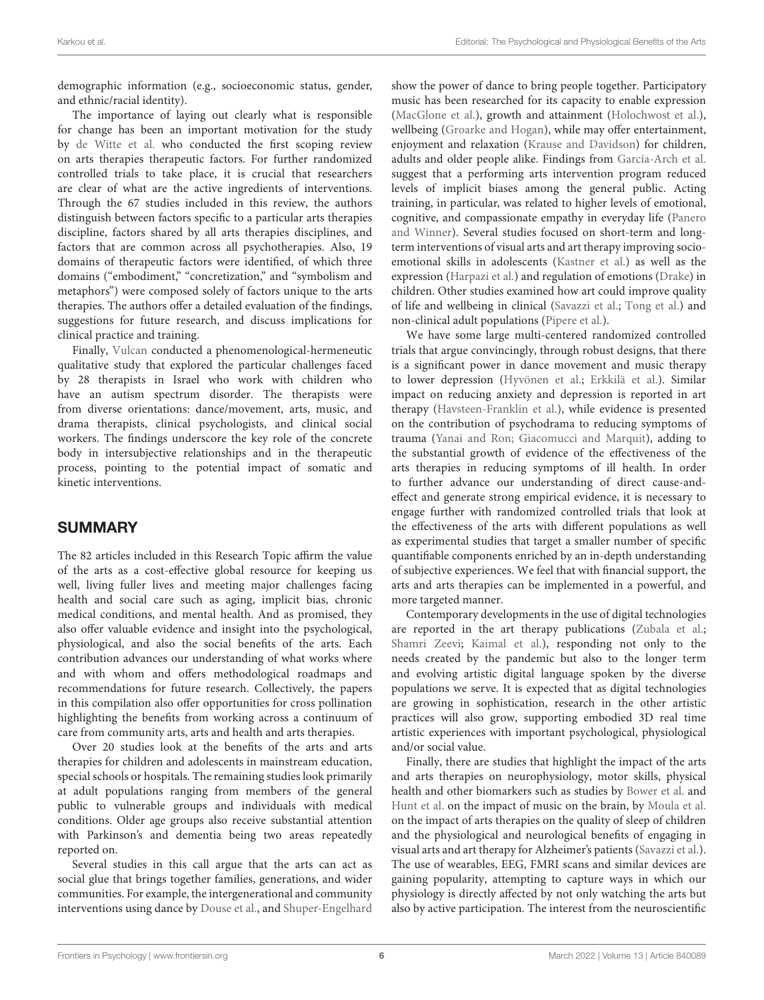demographic information (e.g., socioeconomic status, gender, and ethnic/racial identity).

The importance of laying out clearly what is responsible for change has been an important motivation for the study by [de Witte et al.](https://doi.org/10.3389/fpsyg.2021.678397) who conducted the first scoping review on arts therapies therapeutic factors. For further randomized controlled trials to take place, it is crucial that researchers are clear of what are the active ingredients of interventions. Through the 67 studies included in this review, the authors distinguish between factors specific to a particular arts therapies discipline, factors shared by all arts therapies disciplines, and factors that are common across all psychotherapies. Also, 19 domains of therapeutic factors were identified, of which three domains ("embodiment," "concretization," and "symbolism and metaphors") were composed solely of factors unique to the arts therapies. The authors offer a detailed evaluation of the findings, suggestions for future research, and discuss implications for clinical practice and training.

Finally, [Vulcan](https://doi.org/10.3389/fpsyg.2020.548964) conducted a phenomenological-hermeneutic qualitative study that explored the particular challenges faced by 28 therapists in Israel who work with children who have an autism spectrum disorder. The therapists were from diverse orientations: dance/movement, arts, music, and drama therapists, clinical psychologists, and clinical social workers. The findings underscore the key role of the concrete body in intersubjective relationships and in the therapeutic process, pointing to the potential impact of somatic and kinetic interventions.

## SUMMARY

The 82 articles included in this Research Topic affirm the value of the arts as a cost-effective global resource for keeping us well, living fuller lives and meeting major challenges facing health and social care such as aging, implicit bias, chronic medical conditions, and mental health. And as promised, they also offer valuable evidence and insight into the psychological, physiological, and also the social benefits of the arts. Each contribution advances our understanding of what works where and with whom and offers methodological roadmaps and recommendations for future research. Collectively, the papers in this compilation also offer opportunities for cross pollination highlighting the benefits from working across a continuum of care from community arts, arts and health and arts therapies.

Over 20 studies look at the benefits of the arts and arts therapies for children and adolescents in mainstream education, special schools or hospitals. The remaining studies look primarily at adult populations ranging from members of the general public to vulnerable groups and individuals with medical conditions. Older age groups also receive substantial attention with Parkinson's and dementia being two areas repeatedly reported on.

Several studies in this call argue that the arts can act as social glue that brings together families, generations, and wider communities. For example, the intergenerational and community interventions using dance by [Douse et al.,](https://doi.org/10.3389/fpsyg.2020.561126) and [Shuper-Engelhard](https://doi.org/10.3389/fpsyg.2020.00542) show the power of dance to bring people together. Participatory music has been researched for its capacity to enable expression [\(MacGlone et al.\)](https://doi.org/10.3389/fpsyg.2020.588734), growth and attainment [\(Holochwost et al.\)](https://doi.org/10.3389/fpsyg.2020.586749), wellbeing [\(Groarke and Hogan\)](https://doi.org/10.3389/fpsyg.2020.566296), while may offer entertainment, enjoyment and relaxation [\(Krause and Davidson\)](https://doi.org/10.3389/fpsyg.2021.585557) for children, adults and older people alike. Findings from [García-Arch et al.](https://doi.org/10.3389/fpsyg.2021.614816) suggest that a performing arts intervention program reduced levels of implicit biases among the general public. Acting training, in particular, was related to higher levels of emotional, [cognitive, and compassionate empathy in everyday life \(Panero](https://doi.org/10.3389/fpsyg.2020.615311) and Winner). Several studies focused on short-term and longterm interventions of visual arts and art therapy improving socioemotional skills in adolescents [\(Kastner et al.\)](https://doi.org/10.3389/fpsyg.2020.603984) as well as the expression [\(Harpazi et al.\)](https://doi.org/10.3389/fpsyg.2020.518304) and regulation of emotions [\(Drake\)](https://doi.org/10.3389/fpsyg.2021.622927) in children. Other studies examined how art could improve quality of life and wellbeing in clinical [\(Savazzi et al.;](https://doi.org/10.3389/fpsyg.2020.01467) [Tong et al.\)](https://doi.org/10.3389/fpsyg.2020.571124) and non-clinical adult populations [\(Pipere et al.\)](https://doi.org/10.3389/fpsyg.2020.572028).

We have some large multi-centered randomized controlled trials that argue convincingly, through robust designs, that there is a significant power in dance movement and music therapy to lower depression [\(Hyvönen et al.;](https://doi.org/10.3389/fpsyg.2020.01687) [Erkkilä et al.\)](https://doi.org/10.3389/fpsyg.2021.613821). Similar impact on reducing anxiety and depression is reported in art therapy [\(Havsteen-Franklin et al.\)](https://doi.org/10.3389/fpsyg.2021.588661), while evidence is presented on the contribution of psychodrama to reducing symptoms of trauma [\(Yanai and Ron;](https://doi.org/10.3389/fpsyg.2021.600335) [Giacomucci and Marquit\)](https://doi.org/10.3389/fpsyg.2020.00896), adding to the substantial growth of evidence of the effectiveness of the arts therapies in reducing symptoms of ill health. In order to further advance our understanding of direct cause-andeffect and generate strong empirical evidence, it is necessary to engage further with randomized controlled trials that look at the effectiveness of the arts with different populations as well as experimental studies that target a smaller number of specific quantifiable components enriched by an in-depth understanding of subjective experiences. We feel that with financial support, the arts and arts therapies can be implemented in a powerful, and more targeted manner.

Contemporary developments in the use of digital technologies are reported in the art therapy publications [\(Zubala et al.;](https://doi.org/10.3389/fpsyg.2021.600070) [Shamri Zeevi;](https://doi.org/10.3389/fpsyg.2021.584943) [Kaimal et al.\)](https://doi.org/10.3389/fpsyg.2020.01320), responding not only to the needs created by the pandemic but also to the longer term and evolving artistic digital language spoken by the diverse populations we serve. It is expected that as digital technologies are growing in sophistication, research in the other artistic practices will also grow, supporting embodied 3D real time artistic experiences with important psychological, physiological and/or social value.

Finally, there are studies that highlight the impact of the arts and arts therapies on neurophysiology, motor skills, physical health and other biomarkers such as studies by [Bower et al.](https://doi.org/10.3389/fpsyg.2021.615209) and [Hunt et al.](https://doi.org/10.3389/fpsyg.2021.588788) on the impact of music on the brain, by [Moula et al.](https://doi.org/10.3389/fpsyg.2020.586134) on the impact of arts therapies on the quality of sleep of children and the physiological and neurological benefits of engaging in visual arts and art therapy for Alzheimer's patients [\(Savazzi et al.\)](https://doi.org/10.3389/fpsyg.2020.01467). The use of wearables, EEG, FMRI scans and similar devices are gaining popularity, attempting to capture ways in which our physiology is directly affected by not only watching the arts but also by active participation. The interest from the neuroscientific